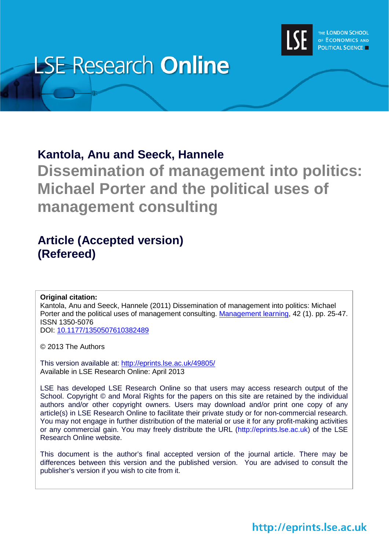

# **LSE Research Online**

## **Kantola, Anu and Seeck, Hannele**

**Dissemination of management into politics: Michael Porter and the political uses of management consulting**

# **Article (Accepted version) (Refereed)**

#### **Original citation:**

Kantola, Anu and Seeck, Hannele (2011) Dissemination of management into politics: Michael Porter and the political uses of management consulting. [Management learning,](http://mlq.sagepub.com/) 42 (1). pp. 25-47. ISSN 1350-5076 DOI: [10.1177/1350507610382489](http://dx.doi.org/10.1177/1350507610382489)

© 2013 The Authors

This version available at:<http://eprints.lse.ac.uk/49805/> Available in LSE Research Online: April 2013

LSE has developed LSE Research Online so that users may access research output of the School. Copyright © and Moral Rights for the papers on this site are retained by the individual authors and/or other copyright owners. Users may download and/or print one copy of any article(s) in LSE Research Online to facilitate their private study or for non-commercial research. You may not engage in further distribution of the material or use it for any profit-making activities or any commercial gain. You may freely distribute the URL (http://eprints.lse.ac.uk) of the LSE Research Online website.

This document is the author's final accepted version of the journal article. There may be differences between this version and the published version. You are advised to consult the publisher's version if you wish to cite from it.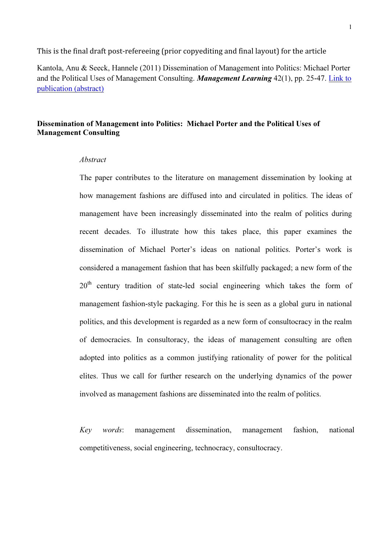This is the final draft post-refereeing (prior copyediting and final layout) for the article

Kantola, Anu & Seeck, Hannele (2011) Dissemination of Management into Politics: Michael Porter and the Political Uses of Management Consulting. Management Learning 42(1), pp. 25-47. Link to publication (abstract)

## Dissemination of Management into Politics: Michael Porter and the Political Uses of Management Consulting

#### Abstract

The paper contributes to the literature on management dissemination by looking at how management fashions are diffused into and circulated in politics. The ideas of management have been increasingly disseminated into the realm of politics during recent decades. To illustrate how this takes place, this paper examines the dissemination of Michael Porter's ideas on national politics. Porter's work is considered a management fashion that has been skilfully packaged; a new form of the 20<sup>th</sup> century tradition of state-led social engineering which takes the form of management fashion-style packaging. For this he is seen as a global guru in national politics, and this development is regarded as a new form of consultocracy in the realm of democracies. In consultoracy, the ideas of management consulting are often adopted into politics as a common justifying rationality of power for the political elites. Thus we call for further research on the underlying dynamics of the power involved as management fashions are disseminated into the realm of politics.

Key words: management dissemination, management fashion, national competitiveness, social engineering, technocracy, consultocracy.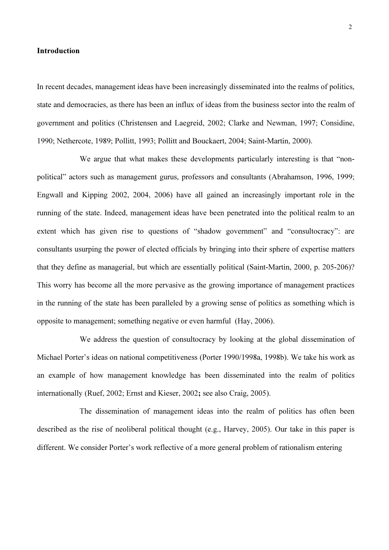#### Introduction

In recent decades, management ideas have been increasingly disseminated into the realms of politics, state and democracies, as there has been an influx of ideas from the business sector into the realm of government and politics (Christensen and Laegreid, 2002; Clarke and Newman, 1997; Considine, 1990; Nethercote, 1989; Pollitt, 1993; Pollitt and Bouckaert, 2004; Saint-Martin, 2000).

We argue that what makes these developments particularly interesting is that "nonpolitical" actors such as management gurus, professors and consultants (Abrahamson, 1996, 1999; Engwall and Kipping 2002, 2004, 2006) have all gained an increasingly important role in the running of the state. Indeed, management ideas have been penetrated into the political realm to an extent which has given rise to questions of "shadow government" and "consultocracy": are consultants usurping the power of elected officials by bringing into their sphere of expertise matters that they define as managerial, but which are essentially political (Saint-Martin, 2000, p. 205-206)? This worry has become all the more pervasive as the growing importance of management practices in the running of the state has been paralleled by a growing sense of politics as something which is opposite to management; something negative or even harmful (Hay, 2006).

We address the question of consultocracy by looking at the global dissemination of Michael Porter's ideas on national competitiveness (Porter 1990/1998a, 1998b). We take his work as an example of how management knowledge has been disseminated into the realm of politics internationally (Ruef, 2002; Ernst and Kieser, 2002; see also Craig, 2005).

The dissemination of management ideas into the realm of politics has often been described as the rise of neoliberal political thought (e.g., Harvey, 2005). Our take in this paper is different. We consider Porter's work reflective of a more general problem of rationalism entering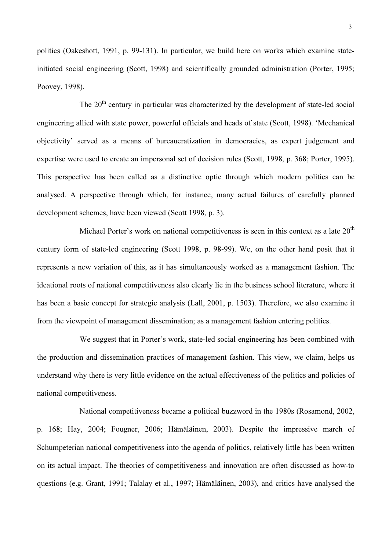politics (Oakeshott, 1991, p. 99-131). In particular, we build here on works which examine stateinitiated social engineering (Scott, 1998) and scientifically grounded administration (Porter, 1995; Poovey, 1998).

The 20<sup>th</sup> century in particular was characterized by the development of state-led social engineering allied with state power, powerful officials and heads of state (Scott, 1998). 'Mechanical objectivity' served as a means of bureaucratization in democracies, as expert judgement and expertise were used to create an impersonal set of decision rules (Scott, 1998, p. 368; Porter, 1995). This perspective has been called as a distinctive optic through which modern politics can be analysed. A perspective through which, for instance, many actual failures of carefully planned development schemes, have been viewed (Scott 1998, p. 3).

Michael Porter's work on national competitiveness is seen in this context as a late  $20<sup>th</sup>$ century form of state-led engineering (Scott 1998, p. 98-99). We, on the other hand posit that it represents a new variation of this, as it has simultaneously worked as a management fashion. The ideational roots of national competitiveness also clearly lie in the business school literature, where it has been a basic concept for strategic analysis (Lall, 2001, p. 1503). Therefore, we also examine it from the viewpoint of management dissemination; as a management fashion entering politics.

We suggest that in Porter's work, state-led social engineering has been combined with the production and dissemination practices of management fashion. This view, we claim, helps us understand why there is very little evidence on the actual effectiveness of the politics and policies of national competitiveness.

National competitiveness became a political buzzword in the 1980s (Rosamond, 2002, p. 168; Hay, 2004; Fougner, 2006; Hämäläinen, 2003). Despite the impressive march of Schumpeterian national competitiveness into the agenda of politics, relatively little has been written on its actual impact. The theories of competitiveness and innovation are often discussed as how-to questions (e.g. Grant, 1991; Talalay et al., 1997; Hämäläinen, 2003), and critics have analysed the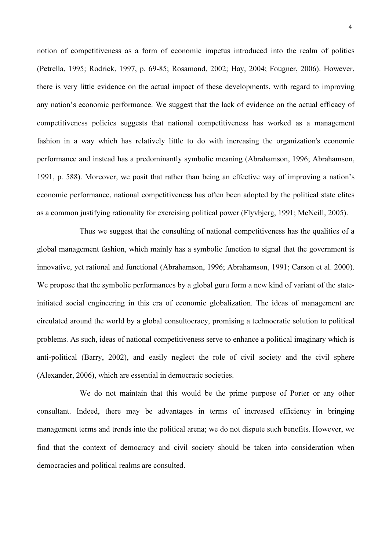notion of competitiveness as a form of economic impetus introduced into the realm of politics (Petrella, 1995; Rodrick, 1997, p. 69-85; Rosamond, 2002; Hay, 2004; Fougner, 2006). However, there is very little evidence on the actual impact of these developments, with regard to improving any nation's economic performance. We suggest that the lack of evidence on the actual efficacy of competitiveness policies suggests that national competitiveness has worked as a management fashion in a way which has relatively little to do with increasing the organization's economic performance and instead has a predominantly symbolic meaning (Abrahamson, 1996; Abrahamson, 1991, p. 588). Moreover, we posit that rather than being an effective way of improving a nation's economic performance, national competitiveness has often been adopted by the political state elites as a common justifying rationality for exercising political power (Flyvbjerg, 1991; McNeill, 2005).

Thus we suggest that the consulting of national competitiveness has the qualities of a global management fashion, which mainly has a symbolic function to signal that the government is innovative, yet rational and functional (Abrahamson, 1996; Abrahamson, 1991; Carson et al. 2000). We propose that the symbolic performances by a global guru form a new kind of variant of the stateinitiated social engineering in this era of economic globalization. The ideas of management are circulated around the world by a global consultocracy, promising a technocratic solution to political problems. As such, ideas of national competitiveness serve to enhance a political imaginary which is anti-political (Barry, 2002), and easily neglect the role of civil society and the civil sphere (Alexander, 2006), which are essential in democratic societies.

We do not maintain that this would be the prime purpose of Porter or any other consultant. Indeed, there may be advantages in terms of increased efficiency in bringing management terms and trends into the political arena; we do not dispute such benefits. However, we find that the context of democracy and civil society should be taken into consideration when democracies and political realms are consulted.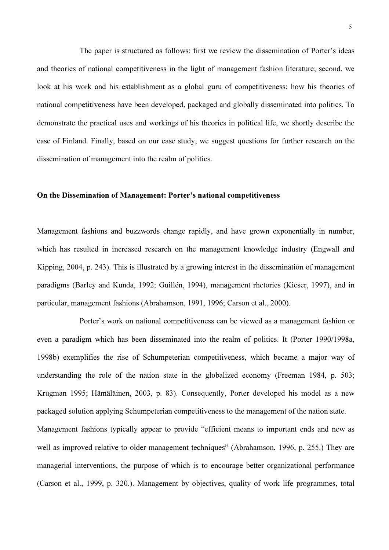The paper is structured as follows: first we review the dissemination of Porter's ideas and theories of national competitiveness in the light of management fashion literature; second, we look at his work and his establishment as a global guru of competitiveness: how his theories of national competitiveness have been developed, packaged and globally disseminated into politics. To demonstrate the practical uses and workings of his theories in political life, we shortly describe the case of Finland. Finally, based on our case study, we suggest questions for further research on the dissemination of management into the realm of politics.

#### On the Dissemination of Management: Porter's national competitiveness

Management fashions and buzzwords change rapidly, and have grown exponentially in number, which has resulted in increased research on the management knowledge industry (Engwall and Kipping, 2004, p. 243). This is illustrated by a growing interest in the dissemination of management paradigms (Barley and Kunda, 1992; Guillén, 1994), management rhetorics (Kieser, 1997), and in particular, management fashions (Abrahamson, 1991, 1996; Carson et al., 2000).

Porter's work on national competitiveness can be viewed as a management fashion or even a paradigm which has been disseminated into the realm of politics. It (Porter 1990/1998a, 1998b) exemplifies the rise of Schumpeterian competitiveness, which became a major way of understanding the role of the nation state in the globalized economy (Freeman 1984, p. 503; Krugman 1995; Hämäläinen, 2003, p. 83). Consequently, Porter developed his model as a new packaged solution applying Schumpeterian competitiveness to the management of the nation state. Management fashions typically appear to provide "efficient means to important ends and new as well as improved relative to older management techniques" (Abrahamson, 1996, p. 255.) They are managerial interventions, the purpose of which is to encourage better organizational performance (Carson et al., 1999, p. 320.). Management by objectives, quality of work life programmes, total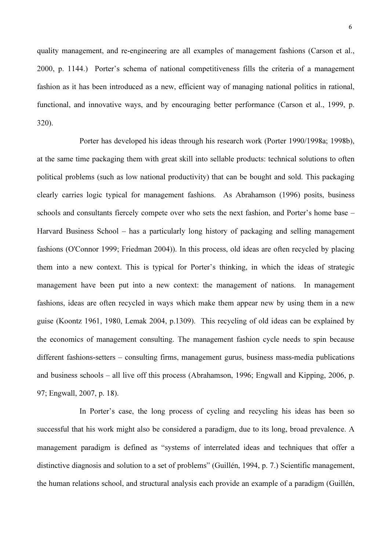quality management, and re-engineering are all examples of management fashions (Carson et al., 2000, p. 1144.) Porter's schema of national competitiveness fills the criteria of a management fashion as it has been introduced as a new, efficient way of managing national politics in rational, functional, and innovative ways, and by encouraging better performance (Carson et al., 1999, p. 320).

Porter has developed his ideas through his research work (Porter 1990/1998a; 1998b), at the same time packaging them with great skill into sellable products: technical solutions to often political problems (such as low national productivity) that can be bought and sold. This packaging clearly carries logic typical for management fashions. As Abrahamson (1996) posits, business schools and consultants fiercely compete over who sets the next fashion, and Porter's home base – Harvard Business School – has a particularly long history of packaging and selling management fashions (O'Connor 1999; Friedman 2004)). In this process, old ideas are often recycled by placing them into a new context. This is typical for Porter's thinking, in which the ideas of strategic management have been put into a new context: the management of nations. In management fashions, ideas are often recycled in ways which make them appear new by using them in a new guise (Koontz 1961, 1980, Lemak 2004, p.1309). This recycling of old ideas can be explained by the economics of management consulting. The management fashion cycle needs to spin because different fashions-setters – consulting firms, management gurus, business mass-media publications and business schools – all live off this process (Abrahamson, 1996; Engwall and Kipping, 2006, p. 97; Engwall, 2007, p. 18).

In Porter's case, the long process of cycling and recycling his ideas has been so successful that his work might also be considered a paradigm, due to its long, broad prevalence. A management paradigm is defined as "systems of interrelated ideas and techniques that offer a distinctive diagnosis and solution to a set of problems" (Guillén, 1994, p. 7.) Scientific management, the human relations school, and structural analysis each provide an example of a paradigm (Guillén,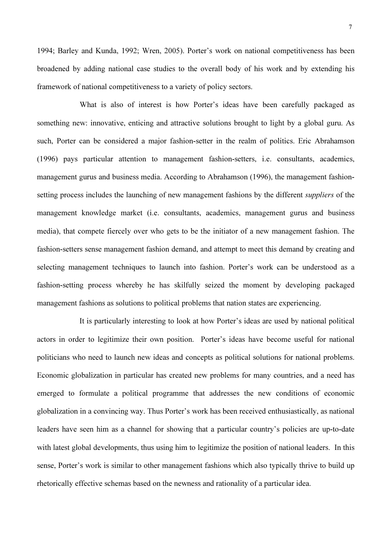1994; Barley and Kunda, 1992; Wren, 2005). Porter's work on national competitiveness has been broadened by adding national case studies to the overall body of his work and by extending his framework of national competitiveness to a variety of policy sectors.

What is also of interest is how Porter's ideas have been carefully packaged as something new: innovative, enticing and attractive solutions brought to light by a global guru. As such, Porter can be considered a major fashion-setter in the realm of politics. Eric Abrahamson (1996) pays particular attention to management fashion-setters, i.e. consultants, academics, management gurus and business media. According to Abrahamson (1996), the management fashionsetting process includes the launching of new management fashions by the different *suppliers* of the management knowledge market (i.e. consultants, academics, management gurus and business media), that compete fiercely over who gets to be the initiator of a new management fashion. The fashion-setters sense management fashion demand, and attempt to meet this demand by creating and selecting management techniques to launch into fashion. Porter's work can be understood as a fashion-setting process whereby he has skilfully seized the moment by developing packaged management fashions as solutions to political problems that nation states are experiencing.

It is particularly interesting to look at how Porter's ideas are used by national political actors in order to legitimize their own position. Porter's ideas have become useful for national politicians who need to launch new ideas and concepts as political solutions for national problems. Economic globalization in particular has created new problems for many countries, and a need has emerged to formulate a political programme that addresses the new conditions of economic globalization in a convincing way. Thus Porter's work has been received enthusiastically, as national leaders have seen him as a channel for showing that a particular country's policies are up-to-date with latest global developments, thus using him to legitimize the position of national leaders. In this sense, Porter's work is similar to other management fashions which also typically thrive to build up rhetorically effective schemas based on the newness and rationality of a particular idea.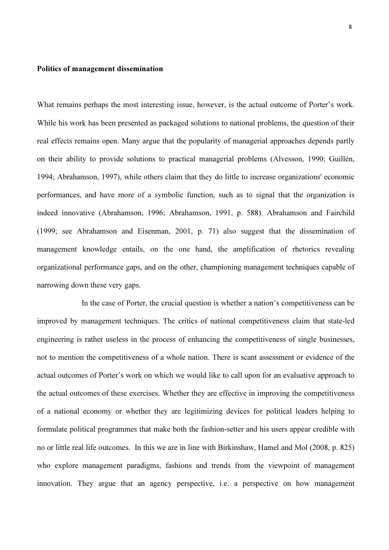#### Politics of management dissemination

What remains perhaps the most interesting issue, however, is the actual outcome of Porter's work. While his work has been presented as packaged solutions to national problems, the question of their real effects remains open. Many argue that the popularity of managerial approaches depends partly on their ability to provide solutions to practical managerial problems (Alvesson, 1990; Guillén, 1994; Abrahamson, 1997), while others claim that they do little to increase organizations' economic performances, and have more of a symbolic function, such as to signal that the organization is indeed innovative (Abrahamson, 1996; Abrahamson, 1991, p. 588). Abrahamson and Fairchild (1999; see Abrahamson and Eisenman, 2001, p. 71) also suggest that the dissemination of management knowledge entails, on the one hand, the amplification of rhetorics revealing organizational performance gaps, and on the other, championing management techniques capable of narrowing down these very gaps.

 In the case of Porter, the crucial question is whether a nation's competitiveness can be improved by management techniques. The critics of national competitiveness claim that state-led engineering is rather useless in the process of enhancing the competitiveness of single businesses, not to mention the competitiveness of a whole nation. There is scant assessment or evidence of the actual outcomes of Porter's work on which we would like to call upon for an evaluative approach to the actual outcomes of these exercises. Whether they are effective in improving the competitiveness of a national economy or whether they are legitimizing devices for political leaders helping to formulate political programmes that make both the fashion-setter and his users appear credible with no or little real life outcomes. In this we are in line with Birkinshaw, Hamel and Mol (2008, p. 825) who explore management paradigms, fashions and trends from the viewpoint of management innovation. They argue that an agency perspective, i.e. a perspective on how management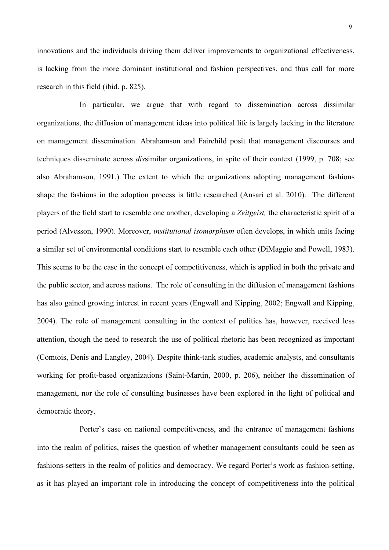innovations and the individuals driving them deliver improvements to organizational effectiveness, is lacking from the more dominant institutional and fashion perspectives, and thus call for more research in this field (ibid. p. 825).

In particular, we argue that with regard to dissemination across dissimilar organizations, the diffusion of management ideas into political life is largely lacking in the literature on management dissemination. Abrahamson and Fairchild posit that management discourses and techniques disseminate across dissimilar organizations, in spite of their context (1999, p. 708; see also Abrahamson, 1991.) The extent to which the organizations adopting management fashions shape the fashions in the adoption process is little researched (Ansari et al. 2010). The different players of the field start to resemble one another, developing a Zeitgeist, the characteristic spirit of a period (Alvesson, 1990). Moreover, institutional isomorphism often develops, in which units facing a similar set of environmental conditions start to resemble each other (DiMaggio and Powell, 1983). This seems to be the case in the concept of competitiveness, which is applied in both the private and the public sector, and across nations. The role of consulting in the diffusion of management fashions has also gained growing interest in recent years (Engwall and Kipping, 2002; Engwall and Kipping, 2004). The role of management consulting in the context of politics has, however, received less attention, though the need to research the use of political rhetoric has been recognized as important (Comtois, Denis and Langley, 2004). Despite think-tank studies, academic analysts, and consultants working for profit-based organizations (Saint-Martin, 2000, p. 206), neither the dissemination of management, nor the role of consulting businesses have been explored in the light of political and democratic theory.

Porter's case on national competitiveness, and the entrance of management fashions into the realm of politics, raises the question of whether management consultants could be seen as fashions-setters in the realm of politics and democracy. We regard Porter's work as fashion-setting, as it has played an important role in introducing the concept of competitiveness into the political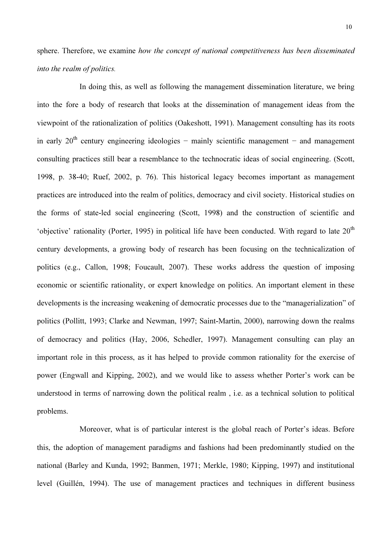sphere. Therefore, we examine how the concept of national competitiveness has been disseminated into the realm of politics.

In doing this, as well as following the management dissemination literature, we bring into the fore a body of research that looks at the dissemination of management ideas from the viewpoint of the rationalization of politics (Oakeshott, 1991). Management consulting has its roots in early 20<sup>th</sup> century engineering ideologies − mainly scientific management − and management consulting practices still bear a resemblance to the technocratic ideas of social engineering. (Scott, 1998, p. 38-40; Ruef, 2002, p. 76). This historical legacy becomes important as management practices are introduced into the realm of politics, democracy and civil society. Historical studies on the forms of state-led social engineering (Scott, 1998) and the construction of scientific and 'objective' rationality (Porter, 1995) in political life have been conducted. With regard to late  $20<sup>th</sup>$ century developments, a growing body of research has been focusing on the technicalization of politics (e.g., Callon, 1998; Foucault, 2007). These works address the question of imposing economic or scientific rationality, or expert knowledge on politics. An important element in these developments is the increasing weakening of democratic processes due to the "managerialization" of politics (Pollitt, 1993; Clarke and Newman, 1997; Saint-Martin, 2000), narrowing down the realms of democracy and politics (Hay, 2006, Schedler, 1997). Management consulting can play an important role in this process, as it has helped to provide common rationality for the exercise of power (Engwall and Kipping, 2002), and we would like to assess whether Porter's work can be understood in terms of narrowing down the political realm , i.e. as a technical solution to political problems.

Moreover, what is of particular interest is the global reach of Porter's ideas. Before this, the adoption of management paradigms and fashions had been predominantly studied on the national (Barley and Kunda, 1992; Banmen, 1971; Merkle, 1980; Kipping, 1997) and institutional level (Guillén, 1994). The use of management practices and techniques in different business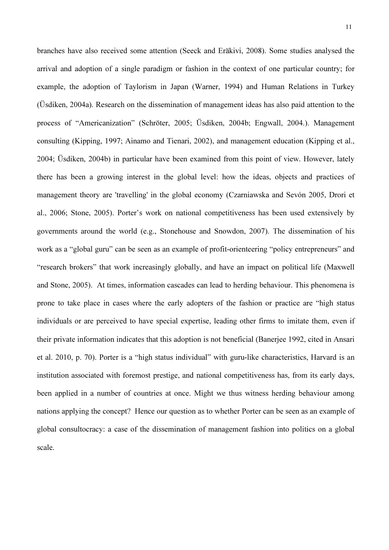branches have also received some attention (Seeck and Eräkivi, 2008). Some studies analysed the arrival and adoption of a single paradigm or fashion in the context of one particular country; for example, the adoption of Taylorism in Japan (Warner, 1994) and Human Relations in Turkey (Üsdiken, 2004a). Research on the dissemination of management ideas has also paid attention to the process of "Americanization" (Schröter, 2005; Üsdiken, 2004b; Engwall, 2004.). Management consulting (Kipping, 1997; Ainamo and Tienari, 2002), and management education (Kipping et al., 2004; Üsdiken, 2004b) in particular have been examined from this point of view. However, lately there has been a growing interest in the global level: how the ideas, objects and practices of management theory are 'travelling' in the global economy (Czarniawska and Sevón 2005, Drori et al., 2006; Stone, 2005). Porter's work on national competitiveness has been used extensively by governments around the world (e.g., Stonehouse and Snowdon, 2007). The dissemination of his work as a "global guru" can be seen as an example of profit-orienteering "policy entrepreneurs" and "research brokers" that work increasingly globally, and have an impact on political life (Maxwell and Stone, 2005). At times, information cascades can lead to herding behaviour. This phenomena is prone to take place in cases where the early adopters of the fashion or practice are "high status individuals or are perceived to have special expertise, leading other firms to imitate them, even if their private information indicates that this adoption is not beneficial (Banerjee 1992, cited in Ansari et al. 2010, p. 70). Porter is a "high status individual" with guru-like characteristics, Harvard is an institution associated with foremost prestige, and national competitiveness has, from its early days, been applied in a number of countries at once. Might we thus witness herding behaviour among nations applying the concept? Hence our question as to whether Porter can be seen as an example of global consultocracy: a case of the dissemination of management fashion into politics on a global scale.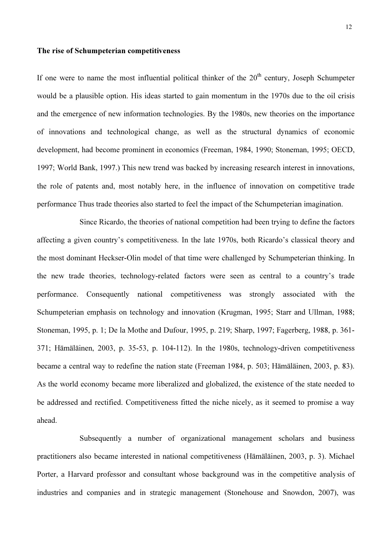#### The rise of Schumpeterian competitiveness

If one were to name the most influential political thinker of the  $20<sup>th</sup>$  century, Joseph Schumpeter would be a plausible option. His ideas started to gain momentum in the 1970s due to the oil crisis and the emergence of new information technologies. By the 1980s, new theories on the importance of innovations and technological change, as well as the structural dynamics of economic development, had become prominent in economics (Freeman, 1984, 1990; Stoneman, 1995; OECD, 1997; World Bank, 1997.) This new trend was backed by increasing research interest in innovations, the role of patents and, most notably here, in the influence of innovation on competitive trade performance Thus trade theories also started to feel the impact of the Schumpeterian imagination.

Since Ricardo, the theories of national competition had been trying to define the factors affecting a given country's competitiveness. In the late 1970s, both Ricardo's classical theory and the most dominant Heckser-Olin model of that time were challenged by Schumpeterian thinking. In the new trade theories, technology-related factors were seen as central to a country's trade performance. Consequently national competitiveness was strongly associated with the Schumpeterian emphasis on technology and innovation (Krugman, 1995; Starr and Ullman, 1988; Stoneman, 1995, p. 1; De la Mothe and Dufour, 1995, p. 219; Sharp, 1997; Fagerberg, 1988, p. 361- 371; Hämäläinen, 2003, p. 35-53, p. 104-112). In the 1980s, technology-driven competitiveness became a central way to redefine the nation state (Freeman 1984, p. 503; Hämäläinen, 2003, p. 83). As the world economy became more liberalized and globalized, the existence of the state needed to be addressed and rectified. Competitiveness fitted the niche nicely, as it seemed to promise a way ahead.

Subsequently a number of organizational management scholars and business practitioners also became interested in national competitiveness (Hämäläinen, 2003, p. 3). Michael Porter, a Harvard professor and consultant whose background was in the competitive analysis of industries and companies and in strategic management (Stonehouse and Snowdon, 2007), was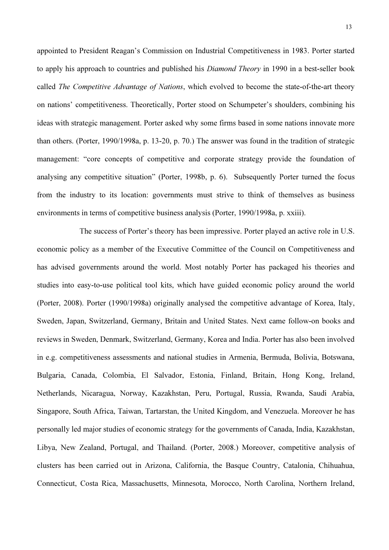appointed to President Reagan's Commission on Industrial Competitiveness in 1983. Porter started to apply his approach to countries and published his Diamond Theory in 1990 in a best-seller book called The Competitive Advantage of Nations, which evolved to become the state-of-the-art theory on nations' competitiveness. Theoretically, Porter stood on Schumpeter's shoulders, combining his ideas with strategic management. Porter asked why some firms based in some nations innovate more than others. (Porter, 1990/1998a, p. 13-20, p. 70.) The answer was found in the tradition of strategic management: "core concepts of competitive and corporate strategy provide the foundation of analysing any competitive situation" (Porter, 1998b, p. 6). Subsequently Porter turned the focus from the industry to its location: governments must strive to think of themselves as business environments in terms of competitive business analysis (Porter, 1990/1998a, p. xxiii).

The success of Porter's theory has been impressive. Porter played an active role in U.S. economic policy as a member of the Executive Committee of the Council on Competitiveness and has advised governments around the world. Most notably Porter has packaged his theories and studies into easy-to-use political tool kits, which have guided economic policy around the world (Porter, 2008). Porter (1990/1998a) originally analysed the competitive advantage of Korea, Italy, Sweden, Japan, Switzerland, Germany, Britain and United States. Next came follow-on books and reviews in Sweden, Denmark, Switzerland, Germany, Korea and India. Porter has also been involved in e.g. competitiveness assessments and national studies in Armenia, Bermuda, Bolivia, Botswana, Bulgaria, Canada, Colombia, El Salvador, Estonia, Finland, Britain, Hong Kong, Ireland, Netherlands, Nicaragua, Norway, Kazakhstan, Peru, Portugal, Russia, Rwanda, Saudi Arabia, Singapore, South Africa, Taiwan, Tartarstan, the United Kingdom, and Venezuela. Moreover he has personally led major studies of economic strategy for the governments of Canada, India, Kazakhstan, Libya, New Zealand, Portugal, and Thailand. (Porter, 2008.) Moreover, competitive analysis of clusters has been carried out in Arizona, California, the Basque Country, Catalonia, Chihuahua, Connecticut, Costa Rica, Massachusetts, Minnesota, Morocco, North Carolina, Northern Ireland,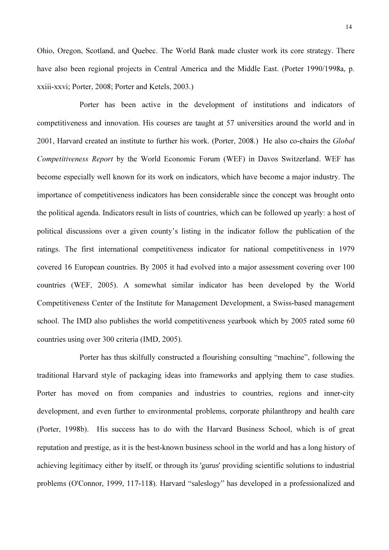Ohio, Oregon, Scotland, and Quebec. The World Bank made cluster work its core strategy. There have also been regional projects in Central America and the Middle East. (Porter 1990/1998a, p. xxiii-xxvi; Porter, 2008; Porter and Ketels, 2003.)

Porter has been active in the development of institutions and indicators of competitiveness and innovation. His courses are taught at 57 universities around the world and in 2001, Harvard created an institute to further his work. (Porter, 2008.) He also co-chairs the Global Competitiveness Report by the World Economic Forum (WEF) in Davos Switzerland. WEF has become especially well known for its work on indicators, which have become a major industry. The importance of competitiveness indicators has been considerable since the concept was brought onto the political agenda. Indicators result in lists of countries, which can be followed up yearly: a host of political discussions over a given county's listing in the indicator follow the publication of the ratings. The first international competitiveness indicator for national competitiveness in 1979 covered 16 European countries. By 2005 it had evolved into a major assessment covering over 100 countries (WEF, 2005). A somewhat similar indicator has been developed by the World Competitiveness Center of the Institute for Management Development, a Swiss-based management school. The IMD also publishes the world competitiveness yearbook which by 2005 rated some 60 countries using over 300 criteria (IMD, 2005).

 Porter has thus skilfully constructed a flourishing consulting "machine", following the traditional Harvard style of packaging ideas into frameworks and applying them to case studies. Porter has moved on from companies and industries to countries, regions and inner-city development, and even further to environmental problems, corporate philanthropy and health care (Porter, 1998b). His success has to do with the Harvard Business School, which is of great reputation and prestige, as it is the best-known business school in the world and has a long history of achieving legitimacy either by itself, or through its 'gurus' providing scientific solutions to industrial problems (O'Connor, 1999, 117-118). Harvard "saleslogy" has developed in a professionalized and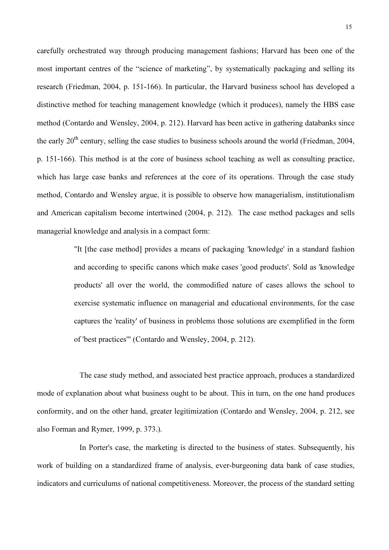carefully orchestrated way through producing management fashions; Harvard has been one of the most important centres of the "science of marketing", by systematically packaging and selling its research (Friedman, 2004, p. 151-166). In particular, the Harvard business school has developed a distinctive method for teaching management knowledge (which it produces), namely the HBS case method (Contardo and Wensley, 2004, p. 212). Harvard has been active in gathering databanks since the early  $20<sup>th</sup>$  century, selling the case studies to business schools around the world (Friedman, 2004, p. 151-166). This method is at the core of business school teaching as well as consulting practice, which has large case banks and references at the core of its operations. Through the case study method, Contardo and Wensley argue, it is possible to observe how managerialism, institutionalism and American capitalism become intertwined (2004, p. 212). The case method packages and sells managerial knowledge and analysis in a compact form:

> "It [the case method] provides a means of packaging 'knowledge' in a standard fashion and according to specific canons which make cases 'good products'. Sold as 'knowledge products' all over the world, the commodified nature of cases allows the school to exercise systematic influence on managerial and educational environments, for the case captures the 'reality' of business in problems those solutions are exemplified in the form of 'best practices'" (Contardo and Wensley, 2004, p. 212).

The case study method, and associated best practice approach, produces a standardized mode of explanation about what business ought to be about. This in turn, on the one hand produces conformity, and on the other hand, greater legitimization (Contardo and Wensley, 2004, p. 212, see also Forman and Rymer, 1999, p. 373.).

In Porter's case, the marketing is directed to the business of states. Subsequently, his work of building on a standardized frame of analysis, ever-burgeoning data bank of case studies, indicators and curriculums of national competitiveness. Moreover, the process of the standard setting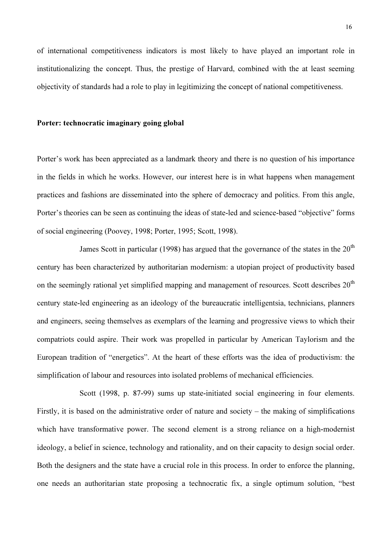of international competitiveness indicators is most likely to have played an important role in institutionalizing the concept. Thus, the prestige of Harvard, combined with the at least seeming objectivity of standards had a role to play in legitimizing the concept of national competitiveness.

#### Porter: technocratic imaginary going global

Porter's work has been appreciated as a landmark theory and there is no question of his importance in the fields in which he works. However, our interest here is in what happens when management practices and fashions are disseminated into the sphere of democracy and politics. From this angle, Porter's theories can be seen as continuing the ideas of state-led and science-based "objective" forms of social engineering (Poovey, 1998; Porter, 1995; Scott, 1998).

James Scott in particular (1998) has argued that the governance of the states in the  $20<sup>th</sup>$ century has been characterized by authoritarian modernism: a utopian project of productivity based on the seemingly rational yet simplified mapping and management of resources. Scott describes  $20<sup>th</sup>$ century state-led engineering as an ideology of the bureaucratic intelligentsia, technicians, planners and engineers, seeing themselves as exemplars of the learning and progressive views to which their compatriots could aspire. Their work was propelled in particular by American Taylorism and the European tradition of "energetics". At the heart of these efforts was the idea of productivism: the simplification of labour and resources into isolated problems of mechanical efficiencies.

Scott (1998, p. 87-99) sums up state-initiated social engineering in four elements. Firstly, it is based on the administrative order of nature and society – the making of simplifications which have transformative power. The second element is a strong reliance on a high-modernist ideology, a belief in science, technology and rationality, and on their capacity to design social order. Both the designers and the state have a crucial role in this process. In order to enforce the planning, one needs an authoritarian state proposing a technocratic fix, a single optimum solution, "best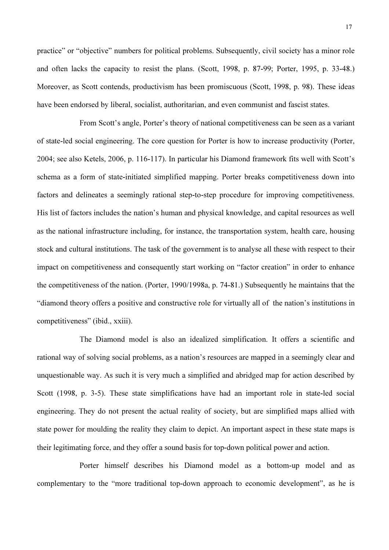practice" or "objective" numbers for political problems. Subsequently, civil society has a minor role and often lacks the capacity to resist the plans. (Scott, 1998, p. 87-99; Porter, 1995, p. 33-48.) Moreover, as Scott contends, productivism has been promiscuous (Scott, 1998, p. 98). These ideas have been endorsed by liberal, socialist, authoritarian, and even communist and fascist states.

From Scott's angle, Porter's theory of national competitiveness can be seen as a variant of state-led social engineering. The core question for Porter is how to increase productivity (Porter, 2004; see also Ketels, 2006, p. 116-117). In particular his Diamond framework fits well with Scott's schema as a form of state-initiated simplified mapping. Porter breaks competitiveness down into factors and delineates a seemingly rational step-to-step procedure for improving competitiveness. His list of factors includes the nation's human and physical knowledge, and capital resources as well as the national infrastructure including, for instance, the transportation system, health care, housing stock and cultural institutions. The task of the government is to analyse all these with respect to their impact on competitiveness and consequently start working on "factor creation" in order to enhance the competitiveness of the nation. (Porter, 1990/1998a, p. 74-81.) Subsequently he maintains that the "diamond theory offers a positive and constructive role for virtually all of the nation's institutions in competitiveness" (ibid., xxiii).

The Diamond model is also an idealized simplification. It offers a scientific and rational way of solving social problems, as a nation's resources are mapped in a seemingly clear and unquestionable way. As such it is very much a simplified and abridged map for action described by Scott (1998, p. 3-5). These state simplifications have had an important role in state-led social engineering. They do not present the actual reality of society, but are simplified maps allied with state power for moulding the reality they claim to depict. An important aspect in these state maps is their legitimating force, and they offer a sound basis for top-down political power and action.

Porter himself describes his Diamond model as a bottom-up model and as complementary to the "more traditional top-down approach to economic development", as he is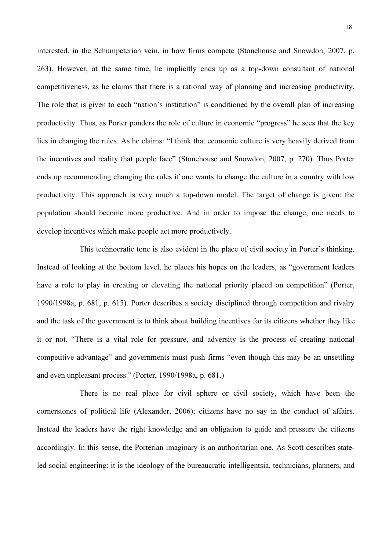interested, in the Schumpeterian vein, in how firms compete (Stonehouse and Snowdon, 2007, p. 263). However, at the same time, he implicitly ends up as a top-down consultant of national competitiveness, as he claims that there is a rational way of planning and increasing productivity. The role that is given to each "nation's institution" is conditioned by the overall plan of increasing productivity. Thus, as Porter ponders the role of culture in economic "progress" he sees that the key lies in changing the rules. As he claims: "I think that economic culture is very heavily derived from the incentives and reality that people face" (Stonehouse and Snowdon, 2007, p. 270). Thus Porter ends up recommending changing the rules if one wants to change the culture in a country with low productivity. This approach is very much a top-down model. The target of change is given: the population should become more productive. And in order to impose the change, one needs to develop incentives which make people act more productively.

This technocratic tone is also evident in the place of civil society in Porter's thinking. Instead of looking at the bottom level, he places his hopes on the leaders, as "government leaders have a role to play in creating or elevating the national priority placed on competition" (Porter, 1990/1998a, p. 681, p. 615). Porter describes a society disciplined through competition and rivalry and the task of the government is to think about building incentives for its citizens whether they like it or not. "There is a vital role for pressure, and adversity is the process of creating national competitive advantage" and governments must push firms "even though this may be an unsettling and even unpleasant process." (Porter, 1990/1998a, p. 681.)

There is no real place for civil sphere or civil society, which have been the cornerstones of political life (Alexander, 2006); citizens have no say in the conduct of affairs. Instead the leaders have the right knowledge and an obligation to guide and pressure the citizens accordingly. In this sense, the Porterian imaginary is an authoritarian one. As Scott describes stateled social engineering: it is the ideology of the bureaucratic intelligentsia, technicians, planners, and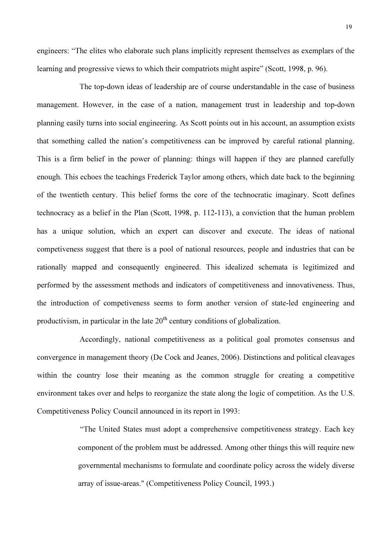engineers: "The elites who elaborate such plans implicitly represent themselves as exemplars of the learning and progressive views to which their compatriots might aspire" (Scott, 1998, p. 96).

The top-down ideas of leadership are of course understandable in the case of business management. However, in the case of a nation, management trust in leadership and top-down planning easily turns into social engineering. As Scott points out in his account, an assumption exists that something called the nation's competitiveness can be improved by careful rational planning. This is a firm belief in the power of planning: things will happen if they are planned carefully enough. This echoes the teachings Frederick Taylor among others, which date back to the beginning of the twentieth century. This belief forms the core of the technocratic imaginary. Scott defines technocracy as a belief in the Plan (Scott, 1998, p. 112-113), a conviction that the human problem has a unique solution, which an expert can discover and execute. The ideas of national competiveness suggest that there is a pool of national resources, people and industries that can be rationally mapped and consequently engineered. This idealized schemata is legitimized and performed by the assessment methods and indicators of competitiveness and innovativeness. Thus, the introduction of competiveness seems to form another version of state-led engineering and productivism, in particular in the late  $20<sup>th</sup>$  century conditions of globalization.

Accordingly, national competitiveness as a political goal promotes consensus and convergence in management theory (De Cock and Jeanes, 2006). Distinctions and political cleavages within the country lose their meaning as the common struggle for creating a competitive environment takes over and helps to reorganize the state along the logic of competition. As the U.S. Competitiveness Policy Council announced in its report in 1993:

> "The United States must adopt a comprehensive competitiveness strategy. Each key component of the problem must be addressed. Among other things this will require new governmental mechanisms to formulate and coordinate policy across the widely diverse array of issue-areas." (Competitiveness Policy Council, 1993.)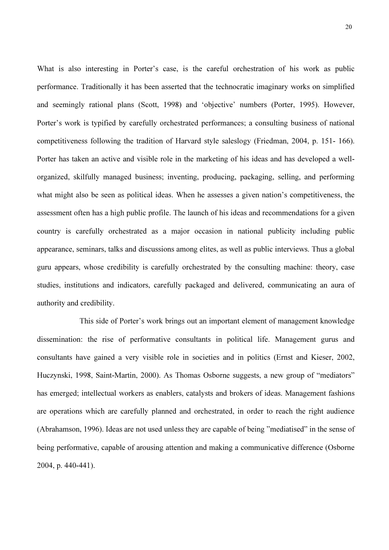What is also interesting in Porter's case, is the careful orchestration of his work as public performance. Traditionally it has been asserted that the technocratic imaginary works on simplified and seemingly rational plans (Scott, 1998) and 'objective' numbers (Porter, 1995). However, Porter's work is typified by carefully orchestrated performances; a consulting business of national competitiveness following the tradition of Harvard style saleslogy (Friedman, 2004, p. 151- 166). Porter has taken an active and visible role in the marketing of his ideas and has developed a wellorganized, skilfully managed business; inventing, producing, packaging, selling, and performing what might also be seen as political ideas. When he assesses a given nation's competitiveness, the assessment often has a high public profile. The launch of his ideas and recommendations for a given country is carefully orchestrated as a major occasion in national publicity including public appearance, seminars, talks and discussions among elites, as well as public interviews. Thus a global guru appears, whose credibility is carefully orchestrated by the consulting machine: theory, case studies, institutions and indicators, carefully packaged and delivered, communicating an aura of authority and credibility.

This side of Porter's work brings out an important element of management knowledge dissemination: the rise of performative consultants in political life. Management gurus and consultants have gained a very visible role in societies and in politics (Ernst and Kieser, 2002, Huczynski, 1998, Saint-Martin, 2000). As Thomas Osborne suggests, a new group of "mediators" has emerged; intellectual workers as enablers, catalysts and brokers of ideas. Management fashions are operations which are carefully planned and orchestrated, in order to reach the right audience (Abrahamson, 1996). Ideas are not used unless they are capable of being "mediatised" in the sense of being performative, capable of arousing attention and making a communicative difference (Osborne 2004, p. 440-441).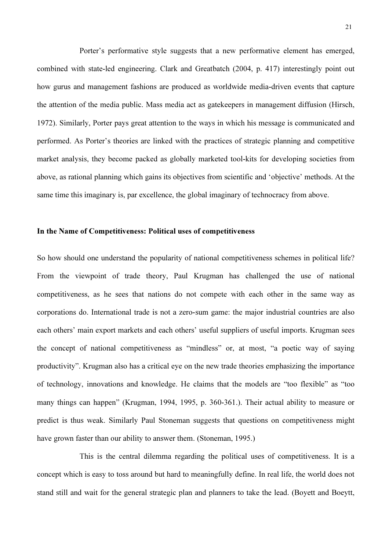Porter's performative style suggests that a new performative element has emerged, combined with state-led engineering. Clark and Greatbatch (2004, p. 417) interestingly point out how gurus and management fashions are produced as worldwide media-driven events that capture the attention of the media public. Mass media act as gatekeepers in management diffusion (Hirsch, 1972). Similarly, Porter pays great attention to the ways in which his message is communicated and performed. As Porter's theories are linked with the practices of strategic planning and competitive market analysis, they become packed as globally marketed tool-kits for developing societies from above, as rational planning which gains its objectives from scientific and 'objective' methods. At the same time this imaginary is, par excellence, the global imaginary of technocracy from above.

#### In the Name of Competitiveness: Political uses of competitiveness

So how should one understand the popularity of national competitiveness schemes in political life? From the viewpoint of trade theory, Paul Krugman has challenged the use of national competitiveness, as he sees that nations do not compete with each other in the same way as corporations do. International trade is not a zero-sum game: the major industrial countries are also each others' main export markets and each others' useful suppliers of useful imports. Krugman sees the concept of national competitiveness as "mindless" or, at most, "a poetic way of saying productivity". Krugman also has a critical eye on the new trade theories emphasizing the importance of technology, innovations and knowledge. He claims that the models are "too flexible" as "too many things can happen" (Krugman, 1994, 1995, p. 360-361.). Their actual ability to measure or predict is thus weak. Similarly Paul Stoneman suggests that questions on competitiveness might have grown faster than our ability to answer them. (Stoneman, 1995.)

This is the central dilemma regarding the political uses of competitiveness. It is a concept which is easy to toss around but hard to meaningfully define. In real life, the world does not stand still and wait for the general strategic plan and planners to take the lead. (Boyett and Boeytt,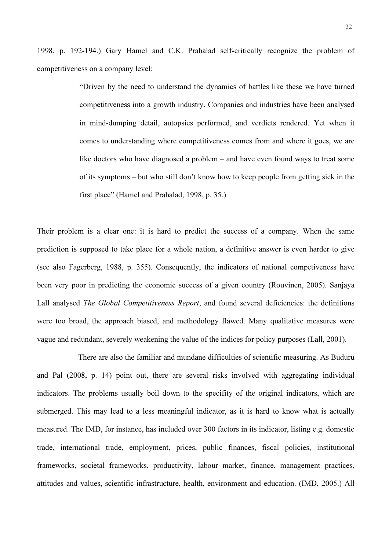1998, p. 192-194.) Gary Hamel and C.K. Prahalad self-critically recognize the problem of competitiveness on a company level:

> "Driven by the need to understand the dynamics of battles like these we have turned competitiveness into a growth industry. Companies and industries have been analysed in mind-dumping detail, autopsies performed, and verdicts rendered. Yet when it comes to understanding where competitiveness comes from and where it goes, we are like doctors who have diagnosed a problem – and have even found ways to treat some of its symptoms – but who still don't know how to keep people from getting sick in the first place" (Hamel and Prahalad, 1998, p. 35.)

Their problem is a clear one: it is hard to predict the success of a company. When the same prediction is supposed to take place for a whole nation, a definitive answer is even harder to give (see also Fagerberg, 1988, p. 355). Consequently, the indicators of national competiveness have been very poor in predicting the economic success of a given country (Rouvinen, 2005). Sanjaya Lall analysed The Global Competitiveness Report, and found several deficiencies: the definitions were too broad, the approach biased, and methodology flawed. Many qualitative measures were vague and redundant, severely weakening the value of the indices for policy purposes (Lall, 2001).

There are also the familiar and mundane difficulties of scientific measuring. As Buduru and Pal (2008, p. 14) point out, there are several risks involved with aggregating individual indicators. The problems usually boil down to the specifity of the original indicators, which are submerged. This may lead to a less meaningful indicator, as it is hard to know what is actually measured. The IMD, for instance, has included over 300 factors in its indicator, listing e.g. domestic trade, international trade, employment, prices, public finances, fiscal policies, institutional frameworks, societal frameworks, productivity, labour market, finance, management practices, attitudes and values, scientific infrastructure, health, environment and education. (IMD, 2005.) All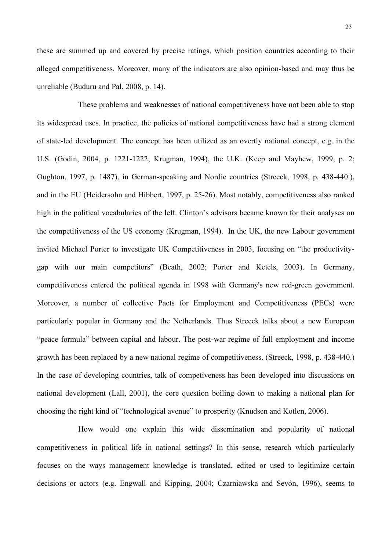these are summed up and covered by precise ratings, which position countries according to their alleged competitiveness. Moreover, many of the indicators are also opinion-based and may thus be unreliable (Buduru and Pal, 2008, p. 14).

These problems and weaknesses of national competitiveness have not been able to stop its widespread uses. In practice, the policies of national competitiveness have had a strong element of state-led development. The concept has been utilized as an overtly national concept, e.g. in the U.S. (Godin, 2004, p. 1221-1222; Krugman, 1994), the U.K. (Keep and Mayhew, 1999, p. 2; Oughton, 1997, p. 1487), in German-speaking and Nordic countries (Streeck, 1998, p. 438-440.), and in the EU (Heidersohn and Hibbert, 1997, p. 25-26). Most notably, competitiveness also ranked high in the political vocabularies of the left. Clinton's advisors became known for their analyses on the competitiveness of the US economy (Krugman, 1994). In the UK, the new Labour government invited Michael Porter to investigate UK Competitiveness in 2003, focusing on "the productivitygap with our main competitors" (Beath, 2002; Porter and Ketels, 2003). In Germany, competitiveness entered the political agenda in 1998 with Germany's new red-green government. Moreover, a number of collective Pacts for Employment and Competitiveness (PECs) were particularly popular in Germany and the Netherlands. Thus Streeck talks about a new European "peace formula" between capital and labour. The post-war regime of full employment and income growth has been replaced by a new national regime of competitiveness. (Streeck, 1998, p. 438-440.) In the case of developing countries, talk of competiveness has been developed into discussions on national development (Lall, 2001), the core question boiling down to making a national plan for choosing the right kind of "technological avenue" to prosperity (Knudsen and Kotlen, 2006).

How would one explain this wide dissemination and popularity of national competitiveness in political life in national settings? In this sense, research which particularly focuses on the ways management knowledge is translated, edited or used to legitimize certain decisions or actors (e.g. Engwall and Kipping, 2004; Czarniawska and Sevón, 1996), seems to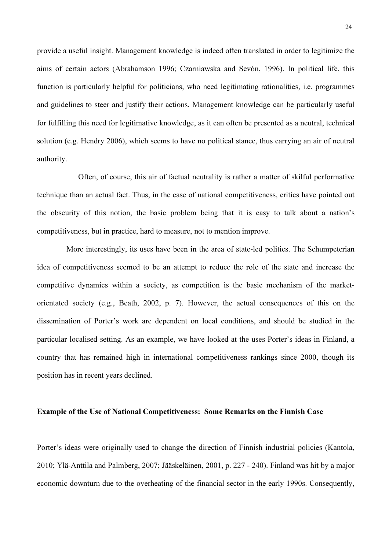provide a useful insight. Management knowledge is indeed often translated in order to legitimize the aims of certain actors (Abrahamson 1996; Czarniawska and Sevón, 1996). In political life, this function is particularly helpful for politicians, who need legitimating rationalities, i.e. programmes and guidelines to steer and justify their actions. Management knowledge can be particularly useful for fulfilling this need for legitimative knowledge, as it can often be presented as a neutral, technical solution (e.g. Hendry 2006), which seems to have no political stance, thus carrying an air of neutral authority.

Often, of course, this air of factual neutrality is rather a matter of skilful performative technique than an actual fact. Thus, in the case of national competitiveness, critics have pointed out the obscurity of this notion, the basic problem being that it is easy to talk about a nation's competitiveness, but in practice, hard to measure, not to mention improve.

More interestingly, its uses have been in the area of state-led politics. The Schumpeterian idea of competitiveness seemed to be an attempt to reduce the role of the state and increase the competitive dynamics within a society, as competition is the basic mechanism of the marketorientated society (e.g., Beath, 2002, p. 7). However, the actual consequences of this on the dissemination of Porter's work are dependent on local conditions, and should be studied in the particular localised setting. As an example, we have looked at the uses Porter's ideas in Finland, a country that has remained high in international competitiveness rankings since 2000, though its position has in recent years declined.

#### Example of the Use of National Competitiveness: Some Remarks on the Finnish Case

Porter's ideas were originally used to change the direction of Finnish industrial policies (Kantola, 2010; Ylä-Anttila and Palmberg, 2007; Jääskeläinen, 2001, p. 227 - 240). Finland was hit by a major economic downturn due to the overheating of the financial sector in the early 1990s. Consequently,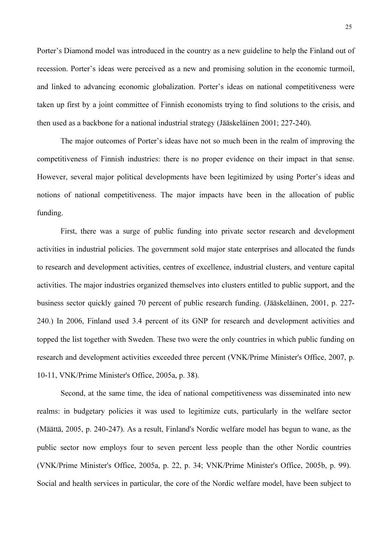Porter's Diamond model was introduced in the country as a new guideline to help the Finland out of recession. Porter's ideas were perceived as a new and promising solution in the economic turmoil, and linked to advancing economic globalization. Porter's ideas on national competitiveness were taken up first by a joint committee of Finnish economists trying to find solutions to the crisis, and then used as a backbone for a national industrial strategy (Jääskeläinen 2001; 227-240).

The major outcomes of Porter's ideas have not so much been in the realm of improving the competitiveness of Finnish industries: there is no proper evidence on their impact in that sense. However, several major political developments have been legitimized by using Porter's ideas and notions of national competitiveness. The major impacts have been in the allocation of public funding.

First, there was a surge of public funding into private sector research and development activities in industrial policies. The government sold major state enterprises and allocated the funds to research and development activities, centres of excellence, industrial clusters, and venture capital activities. The major industries organized themselves into clusters entitled to public support, and the business sector quickly gained 70 percent of public research funding. (Jääskeläinen, 2001, p. 227- 240.) In 2006, Finland used 3.4 percent of its GNP for research and development activities and topped the list together with Sweden. These two were the only countries in which public funding on research and development activities exceeded three percent (VNK/Prime Minister's Office, 2007, p. 10-11, VNK/Prime Minister's Office, 2005a, p. 38).

Second, at the same time, the idea of national competitiveness was disseminated into new realms: in budgetary policies it was used to legitimize cuts, particularly in the welfare sector (Määttä, 2005, p. 240-247). As a result, Finland's Nordic welfare model has begun to wane, as the public sector now employs four to seven percent less people than the other Nordic countries (VNK/Prime Minister's Office, 2005a, p. 22, p. 34; VNK/Prime Minister's Office, 2005b, p. 99). Social and health services in particular, the core of the Nordic welfare model, have been subject to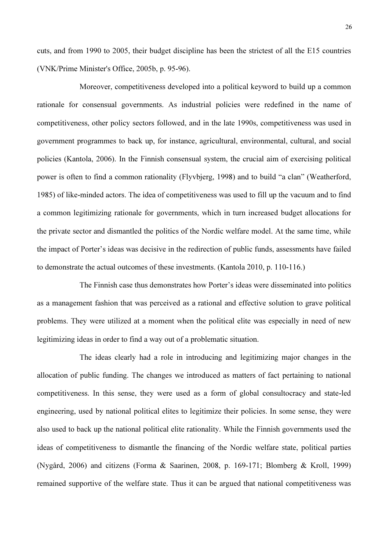cuts, and from 1990 to 2005, their budget discipline has been the strictest of all the E15 countries (VNK/Prime Minister's Office, 2005b, p. 95-96).

 Moreover, competitiveness developed into a political keyword to build up a common rationale for consensual governments. As industrial policies were redefined in the name of competitiveness, other policy sectors followed, and in the late 1990s, competitiveness was used in government programmes to back up, for instance, agricultural, environmental, cultural, and social policies (Kantola, 2006). In the Finnish consensual system, the crucial aim of exercising political power is often to find a common rationality (Flyvbjerg, 1998) and to build "a clan" (Weatherford, 1985) of like-minded actors. The idea of competitiveness was used to fill up the vacuum and to find a common legitimizing rationale for governments, which in turn increased budget allocations for the private sector and dismantled the politics of the Nordic welfare model. At the same time, while the impact of Porter's ideas was decisive in the redirection of public funds, assessments have failed to demonstrate the actual outcomes of these investments. (Kantola 2010, p. 110-116.)

 The Finnish case thus demonstrates how Porter's ideas were disseminated into politics as a management fashion that was perceived as a rational and effective solution to grave political problems. They were utilized at a moment when the political elite was especially in need of new legitimizing ideas in order to find a way out of a problematic situation.

 The ideas clearly had a role in introducing and legitimizing major changes in the allocation of public funding. The changes we introduced as matters of fact pertaining to national competitiveness. In this sense, they were used as a form of global consultocracy and state-led engineering, used by national political elites to legitimize their policies. In some sense, they were also used to back up the national political elite rationality. While the Finnish governments used the ideas of competitiveness to dismantle the financing of the Nordic welfare state, political parties (Nygård, 2006) and citizens (Forma & Saarinen, 2008, p. 169-171; Blomberg & Kroll, 1999) remained supportive of the welfare state. Thus it can be argued that national competitiveness was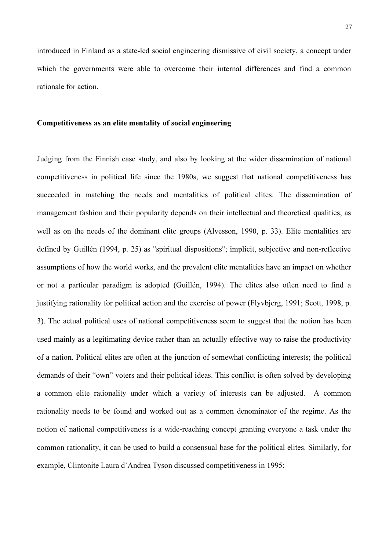introduced in Finland as a state-led social engineering dismissive of civil society, a concept under which the governments were able to overcome their internal differences and find a common rationale for action.

#### Competitiveness as an elite mentality of social engineering

Judging from the Finnish case study, and also by looking at the wider dissemination of national competitiveness in political life since the 1980s, we suggest that national competitiveness has succeeded in matching the needs and mentalities of political elites. The dissemination of management fashion and their popularity depends on their intellectual and theoretical qualities, as well as on the needs of the dominant elite groups (Alvesson, 1990, p. 33). Elite mentalities are defined by Guillén (1994, p. 25) as "spiritual dispositions"; implicit, subjective and non-reflective assumptions of how the world works, and the prevalent elite mentalities have an impact on whether or not a particular paradigm is adopted (Guillén, 1994). The elites also often need to find a justifying rationality for political action and the exercise of power (Flyvbjerg, 1991; Scott, 1998, p. 3). The actual political uses of national competitiveness seem to suggest that the notion has been used mainly as a legitimating device rather than an actually effective way to raise the productivity of a nation. Political elites are often at the junction of somewhat conflicting interests; the political demands of their "own" voters and their political ideas. This conflict is often solved by developing a common elite rationality under which a variety of interests can be adjusted. A common rationality needs to be found and worked out as a common denominator of the regime. As the notion of national competitiveness is a wide-reaching concept granting everyone a task under the common rationality, it can be used to build a consensual base for the political elites. Similarly, for example, Clintonite Laura d'Andrea Tyson discussed competitiveness in 1995: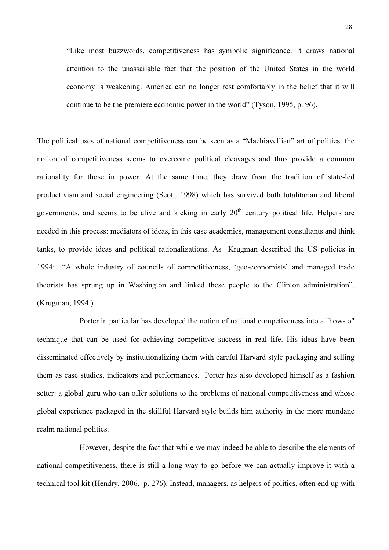"Like most buzzwords, competitiveness has symbolic significance. It draws national attention to the unassailable fact that the position of the United States in the world economy is weakening. America can no longer rest comfortably in the belief that it will continue to be the premiere economic power in the world" (Tyson, 1995, p. 96).

The political uses of national competitiveness can be seen as a "Machiavellian" art of politics: the notion of competitiveness seems to overcome political cleavages and thus provide a common rationality for those in power. At the same time, they draw from the tradition of state-led productivism and social engineering (Scott, 1998) which has survived both totalitarian and liberal governments, and seems to be alive and kicking in early 20<sup>th</sup> century political life. Helpers are needed in this process: mediators of ideas, in this case academics, management consultants and think tanks, to provide ideas and political rationalizations. As Krugman described the US policies in 1994: "A whole industry of councils of competitiveness, 'geo-economists' and managed trade theorists has sprung up in Washington and linked these people to the Clinton administration". (Krugman, 1994.)

 Porter in particular has developed the notion of national competiveness into a "how-to" technique that can be used for achieving competitive success in real life. His ideas have been disseminated effectively by institutionalizing them with careful Harvard style packaging and selling them as case studies, indicators and performances. Porter has also developed himself as a fashion setter: a global guru who can offer solutions to the problems of national competitiveness and whose global experience packaged in the skillful Harvard style builds him authority in the more mundane realm national politics.

However, despite the fact that while we may indeed be able to describe the elements of national competitiveness, there is still a long way to go before we can actually improve it with a technical tool kit (Hendry, 2006, p. 276). Instead, managers, as helpers of politics, often end up with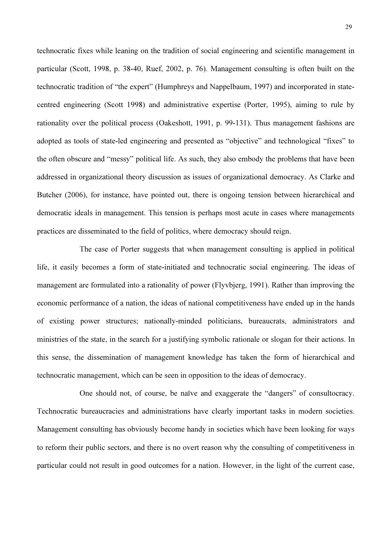technocratic fixes while leaning on the tradition of social engineering and scientific management in particular (Scott, 1998, p. 38-40, Ruef, 2002, p. 76). Management consulting is often built on the technocratic tradition of "the expert" (Humphreys and Nappelbaum, 1997) and incorporated in statecentred engineering (Scott 1998) and administrative expertise (Porter, 1995), aiming to rule by rationality over the political process (Oakeshott, 1991, p. 99-131). Thus management fashions are adopted as tools of state-led engineering and presented as "objective" and technological "fixes" to the often obscure and "messy" political life. As such, they also embody the problems that have been addressed in organizational theory discussion as issues of organizational democracy. As Clarke and Butcher (2006), for instance, have pointed out, there is ongoing tension between hierarchical and democratic ideals in management. This tension is perhaps most acute in cases where managements practices are disseminated to the field of politics, where democracy should reign.

The case of Porter suggests that when management consulting is applied in political life, it easily becomes a form of state-initiated and technocratic social engineering. The ideas of management are formulated into a rationality of power (Flyvbjerg, 1991). Rather than improving the economic performance of a nation, the ideas of national competitiveness have ended up in the hands of existing power structures; nationally-minded politicians, bureaucrats, administrators and ministries of the state, in the search for a justifying symbolic rationale or slogan for their actions. In this sense, the dissemination of management knowledge has taken the form of hierarchical and technocratic management, which can be seen in opposition to the ideas of democracy.

One should not, of course, be naïve and exaggerate the "dangers" of consultocracy. Technocratic bureaucracies and administrations have clearly important tasks in modern societies. Management consulting has obviously become handy in societies which have been looking for ways to reform their public sectors, and there is no overt reason why the consulting of competitiveness in particular could not result in good outcomes for a nation. However, in the light of the current case,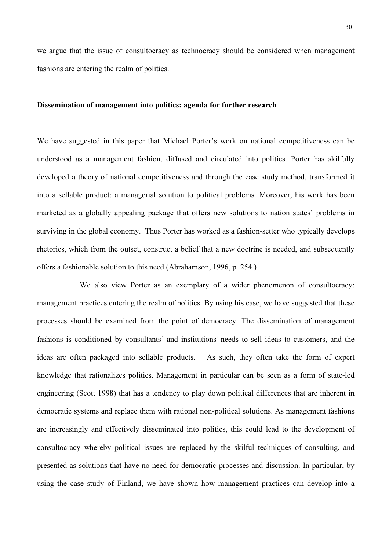we argue that the issue of consultocracy as technocracy should be considered when management fashions are entering the realm of politics.

#### Dissemination of management into politics: agenda for further research

We have suggested in this paper that Michael Porter's work on national competitiveness can be understood as a management fashion, diffused and circulated into politics. Porter has skilfully developed a theory of national competitiveness and through the case study method, transformed it into a sellable product: a managerial solution to political problems. Moreover, his work has been marketed as a globally appealing package that offers new solutions to nation states' problems in surviving in the global economy. Thus Porter has worked as a fashion-setter who typically develops rhetorics, which from the outset, construct a belief that a new doctrine is needed, and subsequently offers a fashionable solution to this need (Abrahamson, 1996, p. 254.)

We also view Porter as an exemplary of a wider phenomenon of consultocracy: management practices entering the realm of politics. By using his case, we have suggested that these processes should be examined from the point of democracy. The dissemination of management fashions is conditioned by consultants' and institutions' needs to sell ideas to customers, and the ideas are often packaged into sellable products. As such, they often take the form of expert knowledge that rationalizes politics. Management in particular can be seen as a form of state-led engineering (Scott 1998) that has a tendency to play down political differences that are inherent in democratic systems and replace them with rational non-political solutions. As management fashions are increasingly and effectively disseminated into politics, this could lead to the development of consultocracy whereby political issues are replaced by the skilful techniques of consulting, and presented as solutions that have no need for democratic processes and discussion. In particular, by using the case study of Finland, we have shown how management practices can develop into a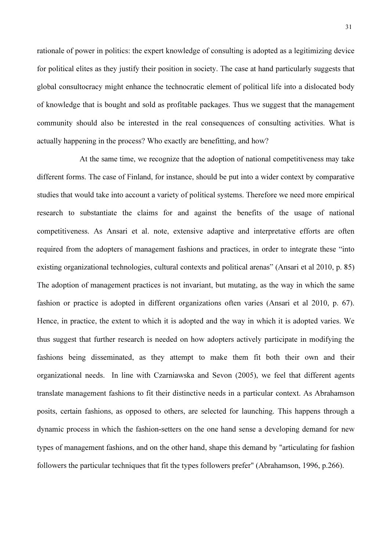rationale of power in politics: the expert knowledge of consulting is adopted as a legitimizing device for political elites as they justify their position in society. The case at hand particularly suggests that global consultocracy might enhance the technocratic element of political life into a dislocated body of knowledge that is bought and sold as profitable packages. Thus we suggest that the management community should also be interested in the real consequences of consulting activities. What is actually happening in the process? Who exactly are benefitting, and how?

At the same time, we recognize that the adoption of national competitiveness may take different forms. The case of Finland, for instance, should be put into a wider context by comparative studies that would take into account a variety of political systems. Therefore we need more empirical research to substantiate the claims for and against the benefits of the usage of national competitiveness. As Ansari et al. note, extensive adaptive and interpretative efforts are often required from the adopters of management fashions and practices, in order to integrate these "into existing organizational technologies, cultural contexts and political arenas" (Ansari et al 2010, p. 85) The adoption of management practices is not invariant, but mutating, as the way in which the same fashion or practice is adopted in different organizations often varies (Ansari et al 2010, p. 67). Hence, in practice, the extent to which it is adopted and the way in which it is adopted varies. We thus suggest that further research is needed on how adopters actively participate in modifying the fashions being disseminated, as they attempt to make them fit both their own and their organizational needs. In line with Czarniawska and Sevon (2005), we feel that different agents translate management fashions to fit their distinctive needs in a particular context. As Abrahamson posits, certain fashions, as opposed to others, are selected for launching. This happens through a dynamic process in which the fashion-setters on the one hand sense a developing demand for new types of management fashions, and on the other hand, shape this demand by "articulating for fashion followers the particular techniques that fit the types followers prefer" (Abrahamson, 1996, p.266).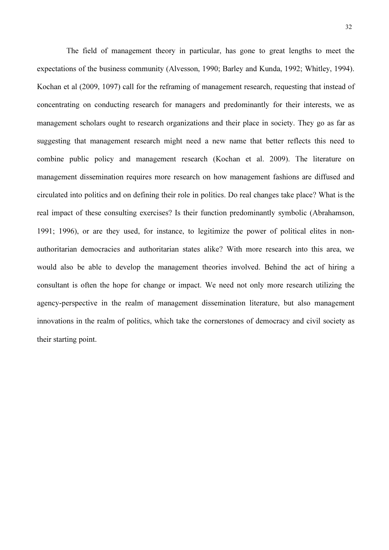The field of management theory in particular, has gone to great lengths to meet the expectations of the business community (Alvesson, 1990; Barley and Kunda, 1992; Whitley, 1994). Kochan et al (2009, 1097) call for the reframing of management research, requesting that instead of concentrating on conducting research for managers and predominantly for their interests, we as management scholars ought to research organizations and their place in society. They go as far as suggesting that management research might need a new name that better reflects this need to combine public policy and management research (Kochan et al. 2009). The literature on management dissemination requires more research on how management fashions are diffused and circulated into politics and on defining their role in politics. Do real changes take place? What is the real impact of these consulting exercises? Is their function predominantly symbolic (Abrahamson, 1991; 1996), or are they used, for instance, to legitimize the power of political elites in nonauthoritarian democracies and authoritarian states alike? With more research into this area, we would also be able to develop the management theories involved. Behind the act of hiring a consultant is often the hope for change or impact. We need not only more research utilizing the agency-perspective in the realm of management dissemination literature, but also management innovations in the realm of politics, which take the cornerstones of democracy and civil society as their starting point.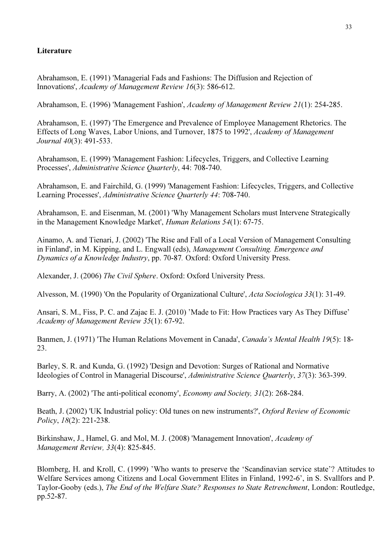## Literature

Abrahamson, E. (1991) 'Managerial Fads and Fashions: The Diffusion and Rejection of Innovations', Academy of Management Review 16(3): 586-612.

Abrahamson, E. (1996) 'Management Fashion', Academy of Management Review 21(1): 254-285.

Abrahamson, E. (1997) 'The Emergence and Prevalence of Employee Management Rhetorics. The Effects of Long Waves, Labor Unions, and Turnover, 1875 to 1992', Academy of Management Journal 40(3): 491-533.

Abrahamson, E. (1999) 'Management Fashion: Lifecycles, Triggers, and Collective Learning Processes', Administrative Science Quarterly, 44: 708-740.

Abrahamson, E. and Fairchild, G. (1999) 'Management Fashion: Lifecycles, Triggers, and Collective Learning Processes', Administrative Science Quarterly 44: 708-740.

Abrahamson, E. and Eisenman, M. (2001) 'Why Management Scholars must Intervene Strategically in the Management Knowledge Market', Human Relations 54(1): 67-75.

Ainamo, A. and Tienari, J. (2002) 'The Rise and Fall of a Local Version of Management Consulting in Finland', in M. Kipping, and L. Engwall (eds), Management Consulting. Emergence and Dynamics of a Knowledge Industry, pp. 70-87. Oxford: Oxford University Press.

Alexander, J. (2006) The Civil Sphere. Oxford: Oxford University Press.

Alvesson, M. (1990) 'On the Popularity of Organizational Culture', Acta Sociologica 33(1): 31-49.

Ansari, S. M., Fiss, P. C. and Zajac E. J. (2010) 'Made to Fit: How Practices vary As They Diffuse' Academy of Management Review 35(1): 67-92.

Banmen, J. (1971) 'The Human Relations Movement in Canada', Canada's Mental Health 19(5): 18- 23.

Barley, S. R. and Kunda, G. (1992) 'Design and Devotion: Surges of Rational and Normative Ideologies of Control in Managerial Discourse', Administrative Science Quarterly, 37(3): 363-399.

Barry, A. (2002) 'The anti-political economy', *Economy and Society*, 31(2): 268-284.

Beath, J. (2002) 'UK Industrial policy: Old tunes on new instruments?', Oxford Review of Economic Policy, 18(2): 221-238.

Birkinshaw, J., Hamel, G. and Mol, M. J. (2008) 'Management Innovation', Academy of Management Review, 33(4): 825-845.

Blomberg, H. and Kroll, C. (1999) 'Who wants to preserve the 'Scandinavian service state'? Attitudes to Welfare Services among Citizens and Local Government Elites in Finland, 1992-6', in S. Svallfors and P. Taylor-Gooby (eds.), The End of the Welfare State? Responses to State Retrenchment, London: Routledge, pp.52-87.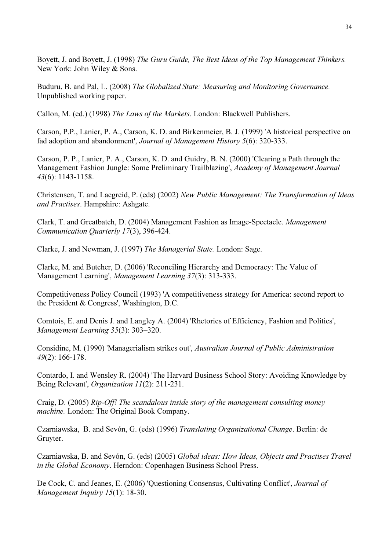Boyett, J. and Boyett, J. (1998) The Guru Guide, The Best Ideas of the Top Management Thinkers. New York: John Wiley & Sons.

Buduru, B. and Pal, L. (2008) The Globalized State: Measuring and Monitoring Governance. Unpublished working paper.

Callon, M. (ed.) (1998) The Laws of the Markets. London: Blackwell Publishers.

Carson, P.P., Lanier, P. A., Carson, K. D. and Birkenmeier, B. J. (1999) 'A historical perspective on fad adoption and abandonment', Journal of Management History 5(6): 320-333.

Carson, P. P., Lanier, P. A., Carson, K. D. and Guidry, B. N. (2000) 'Clearing a Path through the Management Fashion Jungle: Some Preliminary Trailblazing', Academy of Management Journal 43(6): 1143-1158.

Christensen, T. and Laegreid, P. (eds) (2002) New Public Management: The Transformation of Ideas and Practises. Hampshire: Ashgate.

Clark, T. and Greatbatch, D. (2004) Management Fashion as Image-Spectacle. Management Communication Quarterly 17(3), 396-424.

Clarke, J. and Newman, J. (1997) The Managerial State. London: Sage.

Clarke, M. and Butcher, D. (2006) 'Reconciling Hierarchy and Democracy: The Value of Management Learning', Management Learning 37(3): 313-333.

Competitiveness Policy Council (1993) 'A competitiveness strategy for America: second report to the President & Congress', Washington, D.C.

Comtois, E. and Denis J. and Langley A. (2004) 'Rhetorics of Efficiency, Fashion and Politics', Management Learning 35(3): 303–320.

Considine, M. (1990) 'Managerialism strikes out', Australian Journal of Public Administration 49(2): 166-178.

Contardo, I. and Wensley R. (2004) 'The Harvard Business School Story: Avoiding Knowledge by Being Relevant', Organization 11(2): 211-231.

Craig, D. (2005) Rip-Off! The scandalous inside story of the management consulting money machine. London: The Original Book Company.

Czarniawska, B. and Sevón, G. (eds) (1996) Translating Organizational Change. Berlin: de Gruyter.

Czarniawska, B. and Sevón, G. (eds) (2005) Global ideas: How Ideas, Objects and Practises Travel in the Global Economy. Herndon: Copenhagen Business School Press.

De Cock, C. and Jeanes, E. (2006) 'Questioning Consensus, Cultivating Conflict', Journal of Management Inquiry 15(1): 18-30.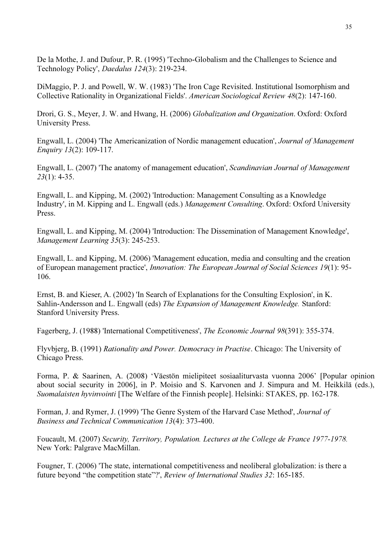De la Mothe, J. and Dufour, P. R. (1995) 'Techno-Globalism and the Challenges to Science and Technology Policy', Daedalus 124(3): 219-234.

DiMaggio, P. J. and Powell, W. W. (1983) 'The Iron Cage Revisited. Institutional Isomorphism and Collective Rationality in Organizational Fields'. American Sociological Review 48(2): 147-160.

Drori, G. S., Meyer, J. W. and Hwang, H. (2006) Globalization and Organization. Oxford: Oxford University Press.

Engwall, L. (2004) 'The Americanization of Nordic management education', Journal of Management Enquiry 13(2): 109-117.

Engwall, L. (2007) 'The anatomy of management education', Scandinavian Journal of Management  $23(1)$ : 4-35.

Engwall, L. and Kipping, M. (2002) 'Introduction: Management Consulting as a Knowledge Industry', in M. Kipping and L. Engwall (eds.) Management Consulting. Oxford: Oxford University Press.

Engwall, L. and Kipping, M. (2004) 'Introduction: The Dissemination of Management Knowledge', Management Learning 35(3): 245-253.

Engwall, L. and Kipping, M. (2006) 'Management education, media and consulting and the creation of European management practice', Innovation: The European Journal of Social Sciences 19(1): 95- 106.

Ernst, B. and Kieser, A. (2002) 'In Search of Explanations for the Consulting Explosion', in K. Sahlin-Andersson and L. Engwall (eds) The Expansion of Management Knowledge. Stanford: Stanford University Press.

Fagerberg, J. (1988) 'International Competitiveness', The Economic Journal 98(391): 355-374.

Flyvbjerg, B. (1991) Rationality and Power. Democracy in Practise. Chicago: The University of Chicago Press.

Forma, P. & Saarinen, A. (2008) 'Väestön mielipiteet sosiaaliturvasta vuonna 2006' [Popular opinion about social security in 2006], in P. Moisio and S. Karvonen and J. Simpura and M. Heikkilä (eds.), Suomalaisten hyvinvointi [The Welfare of the Finnish people]. Helsinki: STAKES, pp. 162-178.

Forman, J. and Rymer, J. (1999) 'The Genre System of the Harvard Case Method', Journal of Business and Technical Communication 13(4): 373-400.

Foucault, M. (2007) Security, Territory, Population. Lectures at the College de France 1977-1978. New York: Palgrave MacMillan.

Fougner, T. (2006) 'The state, international competitiveness and neoliberal globalization: is there a future beyond "the competition state"?', Review of International Studies 32: 165-185.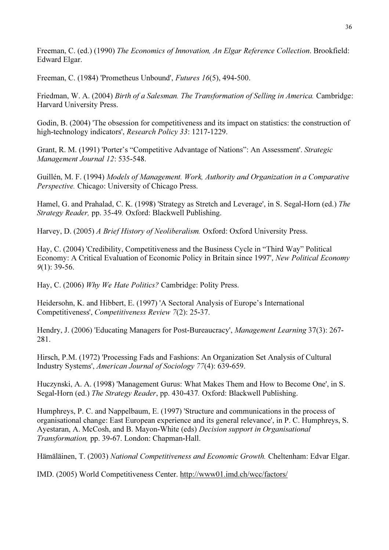Freeman, C. (ed.) (1990) The Economics of Innovation, An Elgar Reference Collection. Brookfield: Edward Elgar.

Freeman, C. (1984) 'Prometheus Unbound', Futures 16(5), 494-500.

Friedman, W. A. (2004) Birth of a Salesman. The Transformation of Selling in America. Cambridge: Harvard University Press.

Godin, B. (2004) 'The obsession for competitiveness and its impact on statistics: the construction of high-technology indicators', Research Policy 33: 1217-1229.

Grant, R. M. (1991) 'Porter's "Competitive Advantage of Nations": An Assessment'. Strategic Management Journal 12: 535-548.

Guillén, M. F. (1994) Models of Management. Work, Authority and Organization in a Comparative Perspective. Chicago: University of Chicago Press.

Hamel, G. and Prahalad, C. K. (1998) 'Strategy as Stretch and Leverage', in S. Segal-Horn (ed.) The Strategy Reader, pp. 35-49. Oxford: Blackwell Publishing.

Harvey, D. (2005) A Brief History of Neoliberalism. Oxford: Oxford University Press.

Hay, C. (2004) 'Credibility, Competitiveness and the Business Cycle in "Third Way" Political Economy: A Critical Evaluation of Economic Policy in Britain since 1997', New Political Economy 9(1): 39-56.

Hay, C. (2006) Why We Hate Politics? Cambridge: Polity Press.

Heidersohn, K. and Hibbert, E. (1997) 'A Sectoral Analysis of Europe's International Competitiveness', Competitiveness Review 7(2): 25-37.

Hendry, J. (2006) 'Educating Managers for Post-Bureaucracy', Management Learning 37(3): 267- 281.

Hirsch, P.M. (1972) 'Processing Fads and Fashions: An Organization Set Analysis of Cultural Industry Systems', American Journal of Sociology 77(4): 639-659.

Huczynski, A. A. (1998) 'Management Gurus: What Makes Them and How to Become One', in S. Segal-Horn (ed.) The Strategy Reader, pp. 430-437. Oxford: Blackwell Publishing.

Humphreys, P. C. and Nappelbaum, E. (1997) 'Structure and communications in the process of organisational change: East European experience and its general relevance', in P. C. Humphreys, S. Ayestaran, A. McCosh, and B. Mayon-White (eds) Decision support in Organisational Transformation, pp. 39-67. London: Chapman-Hall.

Hämäläinen, T. (2003) National Competitiveness and Economic Growth. Cheltenham: Edvar Elgar.

IMD. (2005) World Competitiveness Center. http://www01.imd.ch/wcc/factors/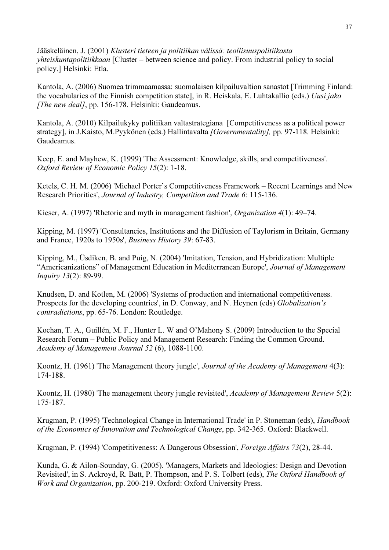Jääskeläinen, J. (2001) Klusteri tieteen ja politiikan välissä: teollisuuspolitiikasta yhteiskuntapolitiikkaan [Cluster – between science and policy. From industrial policy to social policy.] Helsinki: Etla.

Kantola, A. (2006) Suomea trimmaamassa: suomalaisen kilpailuvaltion sanastot [Trimming Finland: the vocabularies of the Finnish competition state], in R. Heiskala, E. Luhtakallio (eds.) Uusi jako [The new deal], pp. 156-178. Helsinki: Gaudeamus.

Kantola, A. (2010) Kilpailukyky politiikan valtastrategiana [Competitiveness as a political power strategy], in J.Kaisto, M.Pyykönen (eds.) Hallintavalta [Governmentality], pp. 97-118. Helsinki: Gaudeamus.

Keep, E. and Mayhew, K. (1999) 'The Assessment: Knowledge, skills, and competitiveness'. Oxford Review of Economic Policy 15(2): 1-18.

Ketels, C. H. M. (2006) 'Michael Porter's Competitiveness Framework – Recent Learnings and New Research Priorities', Journal of Industry, Competition and Trade 6: 115-136.

Kieser, A. (1997) 'Rhetoric and myth in management fashion', Organization 4(1): 49–74.

Kipping, M. (1997) 'Consultancies, Institutions and the Diffusion of Taylorism in Britain, Germany and France, 1920s to 1950s', Business History 39: 67-83.

Kipping, M., Üsdiken, B. and Puig, N. (2004) 'Imitation, Tension, and Hybridization: Multiple "Americanizations" of Management Education in Mediterranean Europe', Journal of Management Inquiry 13(2): 89-99.

Knudsen, D. and Kotlen, M. (2006) 'Systems of production and international competitiveness. Prospects for the developing countries', in D. Conway, and N. Heynen (eds) Globalization's contradictions, pp. 65-76. London: Routledge.

Kochan, T. A., Guillén, M. F., Hunter L. W and O'Mahony S. (2009) Introduction to the Special Research Forum – Public Policy and Management Research: Finding the Common Ground. Academy of Management Journal 52 (6), 1088-1100.

Koontz, H. (1961) 'The Management theory jungle', Journal of the Academy of Management 4(3): 174-188.

Koontz, H. (1980) 'The management theory jungle revisited', Academy of Management Review 5(2): 175-187.

Krugman, P. (1995) 'Technological Change in International Trade' in P. Stoneman (eds), *Handbook* of the Economics of Innovation and Technological Change, pp. 342-365. Oxford: Blackwell.

Krugman, P. (1994) 'Competitiveness: A Dangerous Obsession', Foreign Affairs 73(2), 28-44.

Kunda, G. & Ailon-Sounday, G. (2005). 'Managers, Markets and Ideologies: Design and Devotion Revisited', in S. Ackroyd, R. Batt, P. Thompson, and P. S. Tolbert (eds), The Oxford Handbook of Work and Organization, pp. 200-219. Oxford: Oxford University Press.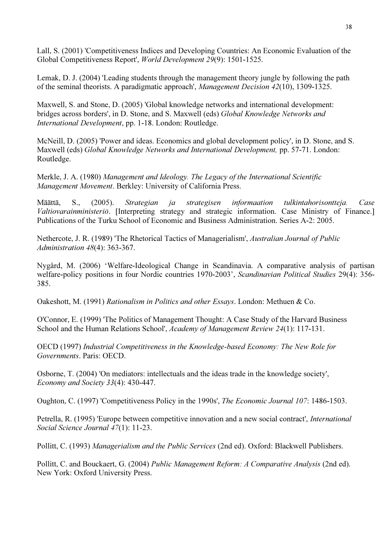Lall, S. (2001) 'Competitiveness Indices and Developing Countries: An Economic Evaluation of the Global Competitiveness Report', World Development 29(9): 1501-1525.

Lemak, D. J. (2004) 'Leading students through the management theory jungle by following the path of the seminal theorists. A paradigmatic approach', Management Decision 42(10), 1309-1325.

Maxwell, S. and Stone, D. (2005) 'Global knowledge networks and international development: bridges across borders', in D. Stone, and S. Maxwell (eds) Global Knowledge Networks and International Development, pp. 1-18. London: Routledge.

McNeill, D. (2005) 'Power and ideas. Economics and global development policy', in D. Stone, and S. Maxwell (eds) Global Knowledge Networks and International Development, pp. 57-71. London: Routledge.

Merkle, J. A. (1980) Management and Ideology. The Legacy of the International Scientific Management Movement. Berkley: University of California Press.

Määttä, S., (2005). Strategian ja strategisen informaation tulkintahorisontteja. Case Valtiovarainministeriö. [Interpreting strategy and strategic information. Case Ministry of Finance.] Publications of the Turku School of Economic and Business Administration. Series A-2: 2005.

Nethercote, J. R. (1989) 'The Rhetorical Tactics of Managerialism', Australian Journal of Public Administration 48(4): 363-367.

Nygård, M. (2006) 'Welfare-Ideological Change in Scandinavia. A comparative analysis of partisan welfare-policy positions in four Nordic countries 1970-2003', Scandinavian Political Studies 29(4): 356- 385.

Oakeshott, M. (1991) Rationalism in Politics and other Essays. London: Methuen & Co.

O'Connor, E. (1999) 'The Politics of Management Thought: A Case Study of the Harvard Business School and the Human Relations School', Academy of Management Review 24(1): 117-131.

OECD (1997) Industrial Competitiveness in the Knowledge-based Economy: The New Role for Governments. Paris: OECD.

Osborne, T. (2004) 'On mediators: intellectuals and the ideas trade in the knowledge society', Economy and Society 33(4): 430-447.

Oughton, C. (1997) 'Competitiveness Policy in the 1990s', The Economic Journal 107: 1486-1503.

Petrella, R. (1995) 'Europe between competitive innovation and a new social contract', International Social Science Journal 47(1): 11-23.

Pollitt, C. (1993) Managerialism and the Public Services (2nd ed). Oxford: Blackwell Publishers.

Pollitt, C. and Bouckaert, G. (2004) Public Management Reform: A Comparative Analysis (2nd ed). New York: Oxford University Press.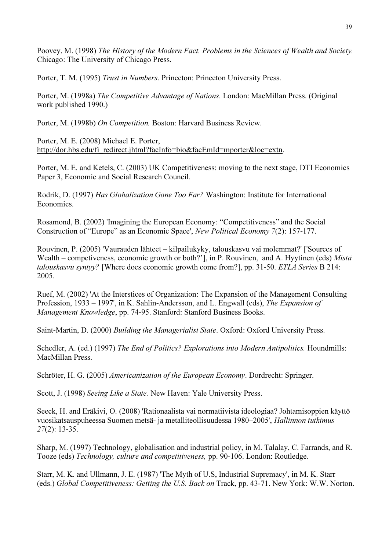Poovey, M. (1998) The History of the Modern Fact. Problems in the Sciences of Wealth and Society. Chicago: The University of Chicago Press.

Porter, T. M. (1995) Trust in Numbers. Princeton: Princeton University Press.

Porter, M. (1998a) The Competitive Advantage of Nations. London: MacMillan Press. (Original work published 1990.)

Porter, M. (1998b) On Competition. Boston: Harvard Business Review.

Porter, M. E. (2008) Michael E. Porter, http://dor.hbs.edu/fi\_redirect.jhtml?facInfo=bio&facEmId=mporter&loc=extn.

Porter, M. E. and Ketels, C. (2003) UK Competitiveness: moving to the next stage, DTI Economics Paper 3, Economic and Social Research Council.

Rodrik, D. (1997) Has Globalization Gone Too Far? Washington: Institute for International Economics.

Rosamond, B. (2002) 'Imagining the European Economy: "Competitiveness" and the Social Construction of "Europe" as an Economic Space', New Political Economy 7(2): 157-177.

Rouvinen, P. (2005) 'Vaurauden lähteet – kilpailukyky, talouskasvu vai molemmat?' ['Sources of Wealth – competiveness, economic growth or both?'], in P. Rouvinen, and A. Hyytinen (eds) Mistä talouskasvu syntyy? [Where does economic growth come from?], pp. 31-50. ETLA Series B 214: 2005.

Ruef, M. (2002) 'At the Interstices of Organization: The Expansion of the Management Consulting Profession, 1933 – 1997', in K. Sahlin-Andersson, and L. Engwall (eds), The Expansion of Management Knowledge, pp. 74-95. Stanford: Stanford Business Books.

Saint-Martin, D. (2000) Building the Managerialist State. Oxford: Oxford University Press.

Schedler, A. (ed.) (1997) The End of Politics? Explorations into Modern Antipolitics. Houndmills: MacMillan Press.

Schröter, H. G. (2005) Americanization of the European Economy. Dordrecht: Springer.

Scott, J. (1998) Seeing Like a State. New Haven: Yale University Press.

Seeck, H. and Eräkivi, O. (2008) 'Rationaalista vai normatiivista ideologiaa? Johtamisoppien käyttö vuosikatsauspuheessa Suomen metsä- ja metalliteollisuudessa 1980–2005', Hallinnon tutkimus 27(2): 13-35.

Sharp, M. (1997) Technology, globalisation and industrial policy, in M. Talalay, C. Farrands, and R. Tooze (eds) Technology, culture and competitiveness, pp. 90-106. London: Routledge.

Starr, M. K. and Ullmann, J. E. (1987) 'The Myth of U.S, Industrial Supremacy', in M. K. Starr (eds.) Global Competitiveness: Getting the U.S. Back on Track, pp. 43-71. New York: W.W. Norton.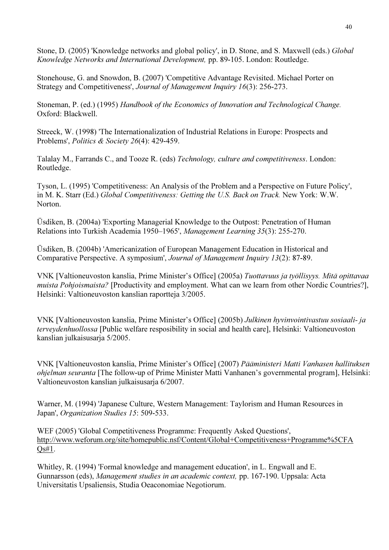Stone, D. (2005) 'Knowledge networks and global policy', in D. Stone, and S. Maxwell (eds.) Global Knowledge Networks and International Development, pp. 89-105. London: Routledge.

Stonehouse, G. and Snowdon, B. (2007) 'Competitive Advantage Revisited. Michael Porter on Strategy and Competitiveness', Journal of Management Inquiry 16(3): 256-273.

Stoneman, P. (ed.) (1995) Handbook of the Economics of Innovation and Technological Change. Oxford: Blackwell.

Streeck, W. (1998) 'The Internationalization of Industrial Relations in Europe: Prospects and Problems', Politics & Society 26(4): 429-459.

Talalay M., Farrands C., and Tooze R. (eds) Technology, culture and competitiveness. London: Routledge.

Tyson, L. (1995) 'Competitiveness: An Analysis of the Problem and a Perspective on Future Policy', in M. K. Starr (Ed.) Global Competitiveness: Getting the U.S. Back on Track. New York: W.W. Norton.

Üsdiken, B. (2004a) 'Exporting Managerial Knowledge to the Outpost: Penetration of Human Relations into Turkish Academia 1950–1965', Management Learning 35(3): 255-270.

Üsdiken, B. (2004b) 'Americanization of European Management Education in Historical and Comparative Perspective. A symposium', Journal of Management Inquiry 13(2): 87-89.

VNK [Valtioneuvoston kanslia, Prime Minister's Office] (2005a) Tuottavuus ja työllisyys. Mitä opittavaa muista Pohjoismaista? [Productivity and employment. What can we learn from other Nordic Countries?], Helsinki: Valtioneuvoston kanslian raportteja 3/2005.

VNK [Valtioneuvoston kanslia, Prime Minister's Office] (2005b) Julkinen hyvinvointivastuu sosiaali- ja terveydenhuollossa [Public welfare resposibility in social and health care], Helsinki: Valtioneuvoston kanslian julkaisusarja 5/2005.

VNK [Valtioneuvoston kanslia, Prime Minister's Office] (2007) Pääministeri Matti Vanhasen hallituksen ohjelman seuranta [The follow-up of Prime Minister Matti Vanhanen's governmental program], Helsinki: Valtioneuvoston kanslian julkaisusarja 6/2007.

Warner, M. (1994) 'Japanese Culture, Western Management: Taylorism and Human Resources in Japan', Organization Studies 15: 509-533.

WEF (2005) 'Global Competitiveness Programme: Frequently Asked Questions', http://www.weforum.org/site/homepublic.nsf/Content/Global+Competitiveness+Programme%5CFA Qs#1.

Whitley, R. (1994) 'Formal knowledge and management education', in L. Engwall and E. Gunnarsson (eds), Management studies in an academic context, pp. 167-190. Uppsala: Acta Universitatis Upsaliensis, Studia Oeaconomiae Negotiorum.